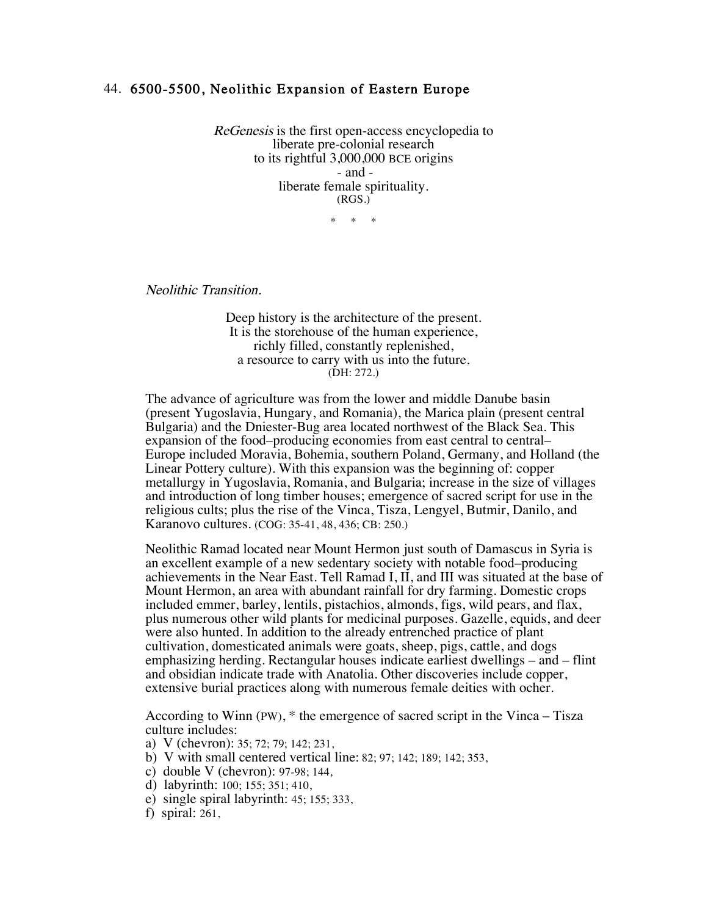## 44. 6500-5500, Neolithic Expansion of Eastern Europe

ReGenesis is the first open-access encyclopedia to liberate pre-colonial research to its rightful 3,000,000 BCE origins - and liberate female spirituality. (RGS.)

 $*$  \*

Neolithic Transition.

Deep history is the architecture of the present. It is the storehouse of the human experience, richly filled, constantly replenished, a resource to carry with us into the future. (DH: 272.)

The advance of agriculture was from the lower and middle Danube basin (present Yugoslavia, Hungary, and Romania), the Marica plain (present central Bulgaria) and the Dniester-Bug area located northwest of the Black Sea. This expansion of the food–producing economies from east central to central– Europe included Moravia, Bohemia, southern Poland, Germany, and Holland (the Linear Pottery culture). With this expansion was the beginning of: copper metallurgy in Yugoslavia, Romania, and Bulgaria; increase in the size of villages and introduction of long timber houses; emergence of sacred script for use in the religious cults; plus the rise of the Vinca, Tisza, Lengyel, Butmir, Danilo, and Karanovo cultures. (COG: 35-41, 48, 436; CB: 250.)

Neolithic Ramad located near Mount Hermon just south of Damascus in Syria is an excellent example of a new sedentary society with notable food–producing achievements in the Near East. Tell Ramad I, II, and III was situated at the base of Mount Hermon, an area with abundant rainfall for dry farming. Domestic crops included emmer, barley, lentils, pistachios, almonds, figs, wild pears, and flax, plus numerous other wild plants for medicinal purposes. Gazelle, equids, and deer were also hunted. In addition to the already entrenched practice of plant cultivation, domesticated animals were goats, sheep, pigs, cattle, and dogs emphasizing herding. Rectangular houses indicate earliest dwellings – and – flint and obsidian indicate trade with Anatolia. Other discoveries include copper, extensive burial practices along with numerous female deities with ocher.

According to Winn (PW), \* the emergence of sacred script in the Vinca – Tisza culture includes:

- a) V (chevron): 35; 72; 79; 142; 231,
- b) V with small centered vertical line: 82; 97; 142; 189; 142; 353,
- c) double V (chevron): 97-98; 144,
- d) labyrinth: 100; 155; 351; 410,
- e) single spiral labyrinth: 45; 155; 333,
- f) spiral: 261,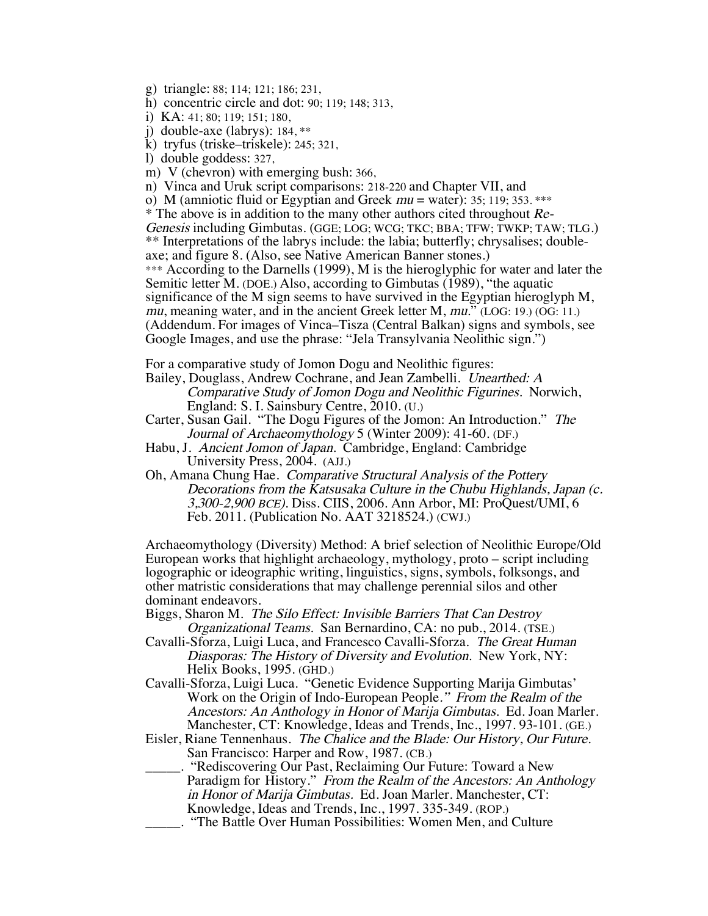- g) triangle: 88; 114; 121; 186; 231,
- h) concentric circle and dot: 90; 119; 148; 313,
- i) KA: 41; 80; 119; 151; 180,
- j) double-axe (labrys): 184, \*\*
- k) tryfus (triske–triskele): 245; 321,
- l) double goddess: 327,
- m) V (chevron) with emerging bush: 366,
- n) Vinca and Uruk script comparisons: 218-220 and Chapter VII, and
- o) M (amniotic fluid or Egyptian and Greek  $mu = water$ ): 35; 119; 353. \*\*\*
- $*$  The above is in addition to the many other authors cited throughout  $Re$ -

Genesis including Gimbutas. (GGE; LOG; WCG; TKC; BBA; TFW; TWKP; TAW; TLG.) \*\* Interpretations of the labrys include: the labia; butterfly; chrysalises; doubleaxe; and figure 8. (Also, see Native American Banner stones.) \*\*\* According to the Darnells (1999), M is the hieroglyphic for water and later the Semitic letter M. (DOE.) Also, according to Gimbutas (1989), "the aquatic significance of the M sign seems to have survived in the Egyptian hieroglyph M, mu, meaning water, and in the ancient Greek letter M,  $mu$ . (LOG: 19.) (OG: 11.) (Addendum. For images of Vinca–Tisza (Central Balkan) signs and symbols, see Google Images, and use the phrase: "Jela Transylvania Neolithic sign.")

For a comparative study of Jomon Dogu and Neolithic figures:

Bailey, Douglass, Andrew Cochrane, and Jean Zambelli. Unearthed: A Comparative Study of Jomon Dogu and Neolithic Figurines. Norwich, England: S. I. Sainsbury Centre, 2010. (U.)

- Carter, Susan Gail. "The Dogu Figures of the Jomon: An Introduction." The Journal of Archaeomythology 5 (Winter 2009): 41-60. (DF.)
- Habu, J. Ancient Jomon of Japan. Cambridge, England: Cambridge University Press, 2004. (AJJ.)
- Oh, Amana Chung Hae. Comparative Structural Analysis of the Pottery Decorations from the Katsusaka Culture in the Chubu Highlands, Japan (c. 3,300-2,900 BCE). Diss. CIIS, 2006. Ann Arbor, MI: ProQuest/UMI, 6 Feb. 2011. (Publication No. AAT 3218524.) (CWJ.)

Archaeomythology (Diversity) Method: A brief selection of Neolithic Europe/Old European works that highlight archaeology, mythology, proto – script including logographic or ideographic writing, linguistics, signs, symbols, folksongs, and other matristic considerations that may challenge perennial silos and other dominant endeavors.

Biggs, Sharon M. The Silo Effect: Invisible Barriers That Can Destroy Organizational Teams. San Bernardino, CA: no pub., 2014. (TSE.)

- Cavalli-Sforza, Luigi Luca, and Francesco Cavalli-Sforza. The Great Human Diasporas: The History of Diversity and Evolution. New York, NY: Helix Books, 1995. (GHD.)
- Cavalli-Sforza, Luigi Luca. "Genetic Evidence Supporting Marija Gimbutas' Work on the Origin of Indo-European People." From the Realm of the Ancestors: An Anthology in Honor of Marija Gimbutas. Ed. Joan Marler. Manchester, CT: Knowledge, Ideas and Trends, Inc., 1997. 93-101. (GE.)
- Eisler, Riane Tennenhaus. The Chalice and the Blade: Our History, Our Future. San Francisco: Harper and Row, 1987. (CB.)
- "Rediscovering Our Past, Reclaiming Our Future: Toward a New Paradigm for History." From the Realm of the Ancestors: An Anthology in Honor of Marija Gimbutas. Ed. Joan Marler. Manchester, CT: Knowledge, Ideas and Trends, Inc., 1997. 335-349. (ROP.)
- \_\_\_\_\_. "The Battle Over Human Possibilities: Women Men, and Culture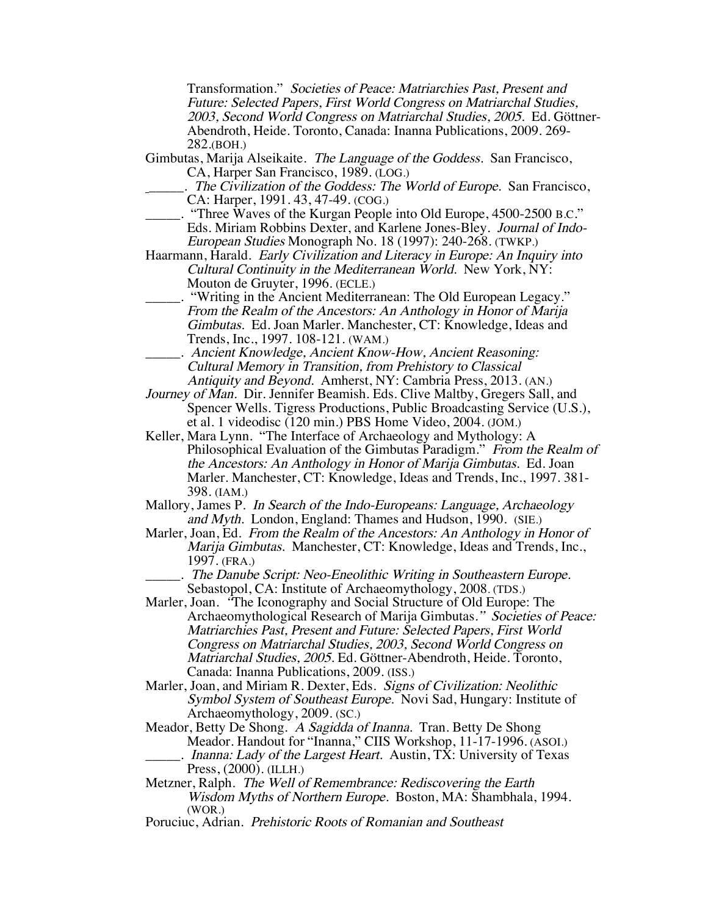Transformation." Societies of Peace: Matriarchies Past, Present and Future: Selected Papers, First World Congress on Matriarchal Studies, 2003, Second World Congress on Matriarchal Studies, 2005. Ed. Göttner-Abendroth, Heide. Toronto, Canada: Inanna Publications, 2009. 269- 282.(BOH.)

- Gimbutas, Marija Alseikaite. The Language of the Goddess. San Francisco, CA, Harper San Francisco, 1989. (LOG.)
	- . The Civilization of the Goddess: The World of Europe. San Francisco, CA: Harper, 1991. 43, 47-49. (COG.)
- \_\_\_\_\_. "Three Waves of the Kurgan People into Old Europe, 4500-2500 B.C." Eds. Miriam Robbins Dexter, and Karlene Jones-Bley. Journal of Indo-European Studies Monograph No. 18 (1997): 240-268. (TWKP.)
- Haarmann, Harald. Early Civilization and Literacy in Europe: An Inquiry into Cultural Continuity in the Mediterranean World. New York, NY: Mouton de Gruyter, 1996. (ECLE.)
	- \_\_\_\_\_. "Writing in the Ancient Mediterranean: The Old European Legacy." From the Realm of the Ancestors: An Anthology in Honor of Marija Gimbutas. Ed. Joan Marler. Manchester, CT: Knowledge, Ideas and Trends, Inc., 1997. 108-121. (WAM.)
- \_\_\_\_\_. Ancient Knowledge, Ancient Know-How, Ancient Reasoning: Cultural Memory in Transition, from Prehistory to Classical Antiquity and Beyond. Amherst, NY: Cambria Press, 2013. (AN.)
- Journey of Man. Dir. Jennifer Beamish. Eds. Clive Maltby, Gregers Sall, and Spencer Wells. Tigress Productions, Public Broadcasting Service (U.S.), et al. 1 videodisc (120 min.) PBS Home Video, 2004. (JOM.)
- Keller, Mara Lynn. "The Interface of Archaeology and Mythology: A Philosophical Evaluation of the Gimbutas Paradigm." From the Realm of the Ancestors: An Anthology in Honor of Marija Gimbutas. Ed. Joan Marler. Manchester, CT: Knowledge, Ideas and Trends, Inc., 1997. 381- 398. (IAM.)
- Mallory, James P. In Search of the Indo-Europeans: Language, Archaeology and Myth. London, England: Thames and Hudson, 1990. (SIE.)
- Marler, Joan, Ed. From the Realm of the Ancestors: An Anthology in Honor of Marija Gimbutas. Manchester, CT: Knowledge, Ideas and Trends, Inc., 1997. (FRA.)
	- . The Danube Script: Neo-Eneolithic Writing in Southeastern Europe. Sebastopol, CA: Institute of Archaeomythology, 2008. (TDS.)
- Marler, Joan. "The Iconography and Social Structure of Old Europe: The Archaeomythological Research of Marija Gimbutas." Societies of Peace: Matriarchies Past, Present and Future: Selected Papers, First World Congress on Matriarchal Studies, 2003, Second World Congress on Matriarchal Studies, 2005. Ed. Göttner-Abendroth, Heide. Toronto, Canada: Inanna Publications, 2009. (ISS.)
- Marler, Joan, and Miriam R. Dexter, Eds. Signs of Civilization: Neolithic Symbol System of Southeast Europe. Novi Sad, Hungary: Institute of Archaeomythology, 2009. (SC.)
- Meador, Betty De Shong. A Sagidda of Inanna. Tran. Betty De Shong Meador. Handout for "Inanna," CIIS Workshop, 11-17-1996. (ASOI.) Inanna: Lady of the Largest Heart. Austin, TX: University of Texas Press, (2000). (ILLH.)
- Metzner, Ralph. The Well of Remembrance: Rediscovering the Earth Wisdom Myths of Northern Europe. Boston, MA: Shambhala, 1994. (WOR.)
- Poruciuc, Adrian. Prehistoric Roots of Romanian and Southeast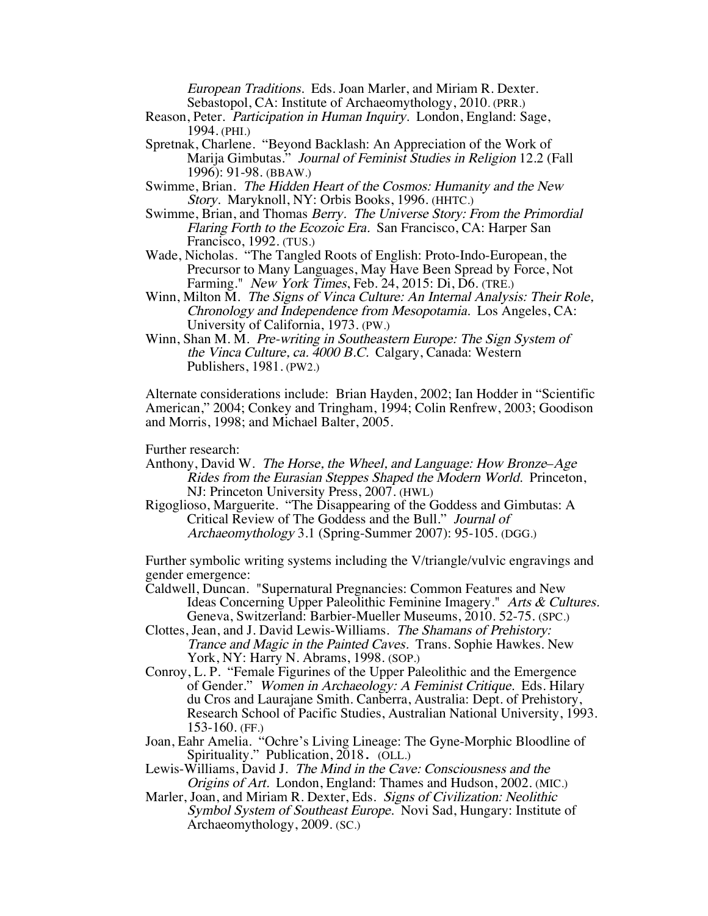European Traditions. Eds. Joan Marler, and Miriam R. Dexter. Sebastopol, CA: Institute of Archaeomythology, 2010. (PRR.)

- Reason, Peter. Participation in Human Inquiry. London, England: Sage, 1994. (PHI.)
- Spretnak, Charlene. "Beyond Backlash: An Appreciation of the Work of Marija Gimbutas." Journal of Feminist Studies in Religion 12.2 (Fall 1996): 91-98. (BBAW.)
- Swimme, Brian. The Hidden Heart of the Cosmos: Humanity and the New Story. Maryknoll, NY: Orbis Books, 1996. (HHTC.)
- Swimme, Brian, and Thomas Berry. The Universe Story: From the Primordial Flaring Forth to the Ecozoic Era. San Francisco, CA: Harper San Francisco, 1992. (TUS.)
- Wade, Nicholas. "The Tangled Roots of English: Proto-Indo-European, the Precursor to Many Languages, May Have Been Spread by Force, Not Farming." *New York Times*, Feb. 24, 2015: Di, D6. (TRE.)
- Winn, Milton M. The Signs of Vinca Culture: An Internal Analysis: Their Role, Chronology and Independence from Mesopotamia. Los Angeles, CA: University of California, 1973. (PW.)
- Winn, Shan M. M. Pre-writing in Southeastern Europe: The Sign System of the Vinca Culture, ca. 4000 B.C. Calgary, Canada: Western Publishers, 1981. (PW2.)

Alternate considerations include: Brian Hayden, 2002; Ian Hodder in "Scientific American," 2004; Conkey and Tringham, 1994; Colin Renfrew, 2003; Goodison and Morris, 1998; and Michael Balter, 2005.

Further research:

- Anthony, David W. The Horse, the Wheel, and Language: How Bronze-Age Rides from the Eurasian Steppes Shaped the Modern World. Princeton, NJ: Princeton University Press, 2007. (HWL)
- Rigoglioso, Marguerite. "The Disappearing of the Goddess and Gimbutas: A Critical Review of The Goddess and the Bull." Journal of Archaeomythology 3.1 (Spring-Summer 2007): 95-105. (DGG.)

Further symbolic writing systems including the V/triangle/vulvic engravings and gender emergence:

Caldwell, Duncan. "Supernatural Pregnancies: Common Features and New Ideas Concerning Upper Paleolithic Feminine Imagery." Arts & Cultures. Geneva, Switzerland: Barbier-Mueller Museums, 2010. 52-75. (SPC.)

- Clottes, Jean, and J. David Lewis-Williams. The Shamans of Prehistory: Trance and Magic in the Painted Caves. Trans. Sophie Hawkes. New York, NY: Harry N. Abrams, 1998. (SOP.)
- Conroy, L. P. "Female Figurines of the Upper Paleolithic and the Emergence of Gender." Women in Archaeology: A Feminist Critique. Eds. Hilary du Cros and Laurajane Smith. Canberra, Australia: Dept. of Prehistory, Research School of Pacific Studies, Australian National University, 1993. 153-160. (FF.)
- Joan, Eahr Amelia. "Ochre's Living Lineage: The Gyne-Morphic Bloodline of Spirituality." Publication, 2018. (OLL.)
- Lewis-Williams, David J. The Mind in the Cave: Consciousness and the Origins of Art. London, England: Thames and Hudson, 2002. (MIC.)
- Marler, Joan, and Miriam R. Dexter, Eds. Signs of Civilization: Neolithic Symbol System of Southeast Europe. Novi Sad, Hungary: Institute of Archaeomythology, 2009. (SC.)